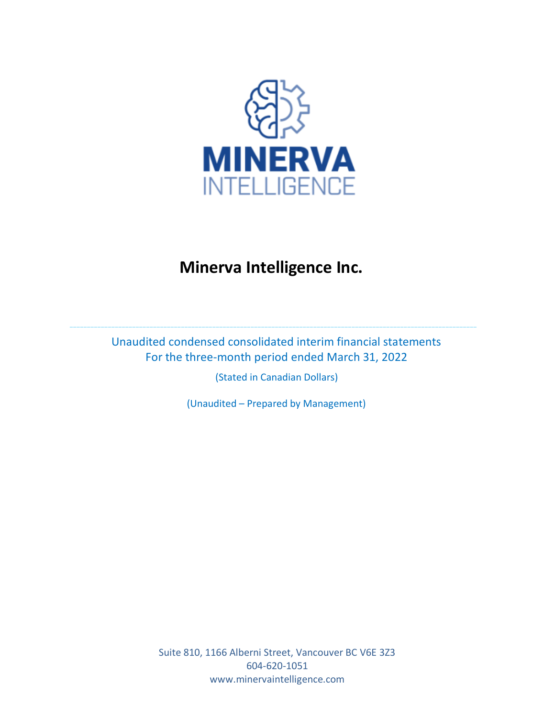

Unaudited condensed consolidated interim financial statements For the three-month period ended March 31, 2022

\_\_\_\_\_\_\_\_\_\_\_\_\_\_\_\_\_\_\_\_\_\_\_\_\_\_\_\_\_\_\_\_\_\_\_\_\_\_\_\_\_\_\_\_\_\_\_\_\_\_\_\_\_\_\_\_\_\_\_\_\_\_\_\_\_\_\_\_\_\_\_\_\_\_\_\_\_\_\_\_\_\_\_\_\_\_\_\_\_\_\_\_\_\_\_\_\_\_\_\_\_\_\_\_\_\_\_\_\_\_\_\_\_\_\_\_\_

(Stated in Canadian Dollars)

(Unaudited – Prepared by Management)

Suite 810, 1166 Alberni Street, Vancouver BC V6E 3Z3 604-620-1051 www.minervaintelligence.com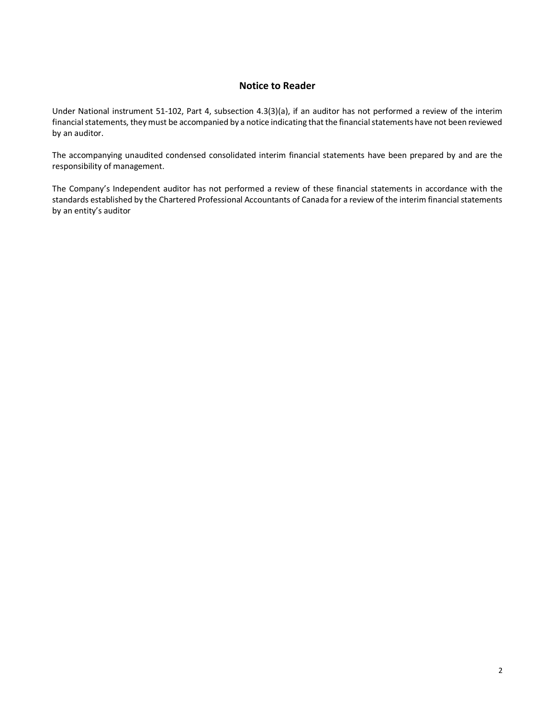### **Notice to Reader**

Under National instrument 51-102, Part 4, subsection 4.3(3)(a), if an auditor has not performed a review of the interim financial statements, they must be accompanied by a notice indicating that the financial statements have not been reviewed by an auditor.

The accompanying unaudited condensed consolidated interim financial statements have been prepared by and are the responsibility of management.

The Company's Independent auditor has not performed a review of these financial statements in accordance with the standards established by the Chartered Professional Accountants of Canada for a review of the interim financial statements by an entity's auditor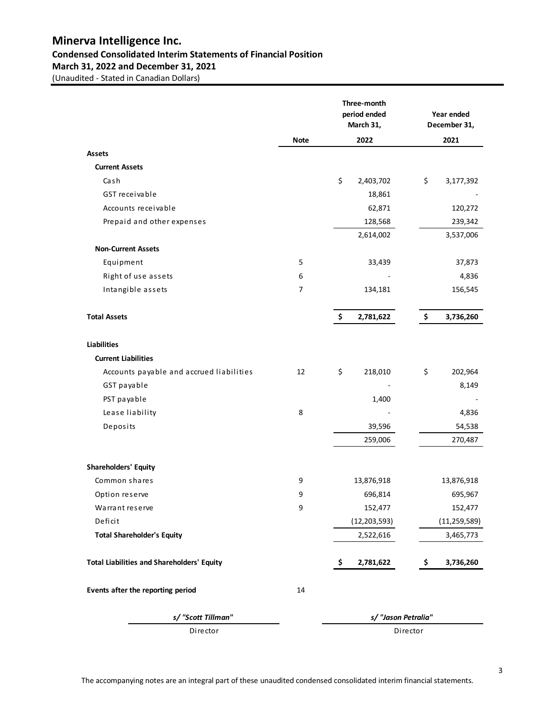## **Minerva Intelligence Inc. Condensed Consolidated Interim Statements of Financial Position March 31, 2022 and December 31, 2021**

|                                                   |             | Three-month<br>period ended<br>March 31, | Year ended<br>December 31, |
|---------------------------------------------------|-------------|------------------------------------------|----------------------------|
|                                                   | <b>Note</b> | 2022                                     | 2021                       |
| <b>Assets</b>                                     |             |                                          |                            |
| <b>Current Assets</b>                             |             |                                          |                            |
| Cash                                              |             | \$<br>2,403,702                          | \$<br>3,177,392            |
| GST receivable                                    |             | 18,861                                   |                            |
| Accounts receivable                               |             | 62,871                                   | 120,272                    |
| Prepaid and other expenses                        |             | 128,568                                  | 239,342                    |
|                                                   |             | 2,614,002                                | 3,537,006                  |
| <b>Non-Current Assets</b>                         |             |                                          |                            |
| Equipment                                         | 5           | 33,439                                   | 37,873                     |
| Right of use assets                               | 6           |                                          | 4,836                      |
| Intangible assets                                 | 7           | 134,181                                  | 156,545                    |
| <b>Total Assets</b>                               |             | \$<br>2,781,622                          | \$<br>3,736,260            |
| <b>Liabilities</b>                                |             |                                          |                            |
| <b>Current Liabilities</b>                        |             |                                          |                            |
| Accounts payable and accrued liabilities          | 12          | \$<br>218,010                            | \$<br>202,964              |
| GST payable                                       |             |                                          | 8,149                      |
| PST payable                                       |             | 1,400                                    |                            |
| Lease liability                                   | 8           |                                          | 4,836                      |
| Deposits                                          |             | 39,596                                   | 54,538                     |
|                                                   |             | 259,006                                  | 270,487                    |
| Shareholders' Equity                              |             |                                          |                            |
| Common shares                                     | 9           | 13,876,918                               | 13,876,918                 |
| Option reserve                                    | 9           | 696,814                                  | 695,967                    |
| Warrant reserve                                   | 9           | 152,477                                  | 152,477                    |
| Deficit                                           |             | (12, 203, 593)                           | (11, 259, 589)             |
| <b>Total Shareholder's Equity</b>                 |             | 2,522,616                                | 3,465,773                  |
| <b>Total Liabilities and Shareholders' Equity</b> |             | \$<br>2,781,622                          | \$<br>3,736,260            |
| Events after the reporting period                 | 14          |                                          |                            |
| s/ "Scott Tillman"                                |             |                                          | s/ "Jason Petralia"        |
| Director                                          |             |                                          | Director                   |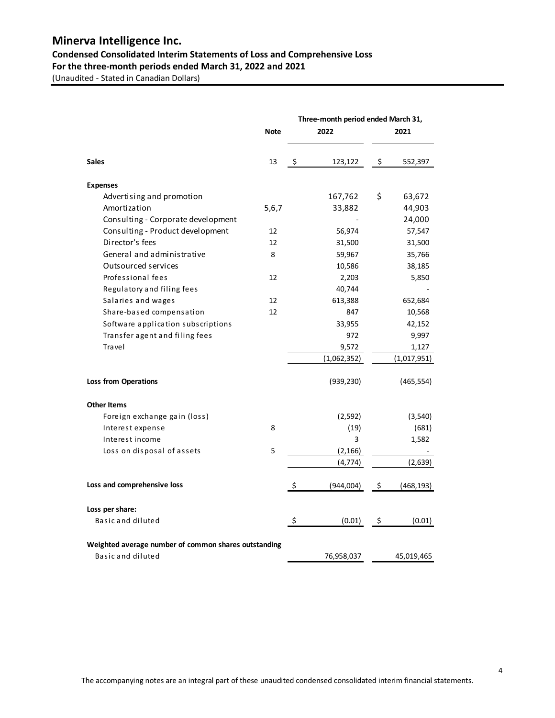# **Condensed Consolidated Interim Statements of Loss and Comprehensive Loss**

**For the three-month periods ended March 31, 2022 and 2021**

|                                                      |             | Three-month period ended March 31, |             |         |             |  |
|------------------------------------------------------|-------------|------------------------------------|-------------|---------|-------------|--|
|                                                      | <b>Note</b> |                                    | 2022        |         | 2021        |  |
| <b>Sales</b>                                         | 13          | \$                                 | 123,122     | $\zeta$ | 552,397     |  |
| <b>Expenses</b>                                      |             |                                    |             |         |             |  |
| Advertising and promotion                            |             |                                    | 167,762     | \$      | 63,672      |  |
| Amortization                                         | 5,6,7       |                                    | 33,882      |         | 44,903      |  |
| Consulting - Corporate development                   |             |                                    |             |         | 24,000      |  |
| Consulting - Product development                     | 12          |                                    | 56,974      |         | 57,547      |  |
| Director's fees                                      | 12          |                                    | 31,500      |         | 31,500      |  |
| General and administrative                           | 8           |                                    | 59,967      |         | 35,766      |  |
| <b>Outsourced services</b>                           |             |                                    | 10,586      |         | 38,185      |  |
| Professional fees                                    | 12          |                                    | 2,203       |         | 5,850       |  |
| Regulatory and filing fees                           |             |                                    | 40,744      |         |             |  |
| Salaries and wages                                   | 12          |                                    | 613,388     |         | 652,684     |  |
| Share-based compensation                             | 12          |                                    | 847         |         | 10,568      |  |
| Software application subscriptions                   |             |                                    | 33,955      |         | 42,152      |  |
| Transfer agent and filing fees                       |             |                                    | 972         |         | 9,997       |  |
| Travel                                               |             |                                    | 9,572       |         | 1,127       |  |
|                                                      |             |                                    | (1,062,352) |         | (1,017,951) |  |
| <b>Loss from Operations</b>                          |             |                                    | (939, 230)  |         | (465, 554)  |  |
| <b>Other Items</b>                                   |             |                                    |             |         |             |  |
| Foreign exchange gain (loss)                         |             |                                    | (2, 592)    |         | (3, 540)    |  |
| Interest expense                                     | 8           |                                    | (19)        |         | (681)       |  |
| Interest income                                      |             |                                    | 3           |         | 1,582       |  |
| Loss on disposal of assets                           | 5           |                                    | (2, 166)    |         |             |  |
|                                                      |             |                                    | (4, 774)    |         | (2,639)     |  |
| Loss and comprehensive loss                          |             | \$                                 | (944,004)   | \$      | (468, 193)  |  |
| Loss per share:                                      |             |                                    |             |         |             |  |
| Basic and diluted                                    |             | \$                                 | (0.01)      | \$      | (0.01)      |  |
| Weighted average number of common shares outstanding |             |                                    |             |         |             |  |
| Basic and diluted                                    |             |                                    | 76,958,037  |         | 45,019,465  |  |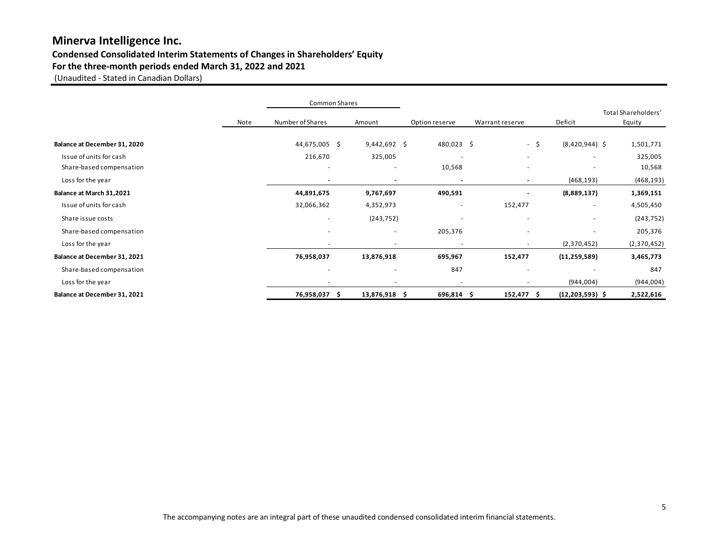## **Condensed Consolidated Interim Statements of Changes in Shareholders' Equity**

### **For the three-month periods ended March 31, 2022 and 2021**

|                              |      | Common Shares            |                          |                |                          |                              |                                        |
|------------------------------|------|--------------------------|--------------------------|----------------|--------------------------|------------------------------|----------------------------------------|
|                              | Note | Number of Shares         | Amount                   | Option reserve | Warrant reserve          | Deficit                      | <b>Total Shareholders'</b><br>Equity   |
|                              |      |                          |                          |                |                          |                              |                                        |
| Balance at December 31, 2020 |      | 44,675,005 \$            | $9,442,692$ \$           | 480,023 \$     |                          | $(8,420,944)$ \$<br>- \$     | 1,501,771                              |
| Issue of units for cash      |      | 216,670                  | 325,005                  |                | $\overline{\phantom{a}}$ | $\overline{\phantom{a}}$     | 325,005<br>٠                           |
| Share-based compensation     |      |                          | $\overline{\phantom{a}}$ | 10,568         |                          | $\overline{\phantom{a}}$     | 10,568                                 |
| Loss for the year            |      |                          |                          |                |                          | (468, 193)<br>$\blacksquare$ | (468, 193)                             |
| Balance at March 31,2021     |      | 44,891,675               | 9,767,697                | 490,591        |                          | (8,889,137)                  | 1,369,151                              |
| Issue of units for cash      |      | 32,066,362               | 4,352,973                |                | 152,477                  |                              | 4,505,450<br>$\overline{\phantom{a}}$  |
| Share issue costs            |      | $\overline{\phantom{a}}$ | (243, 752)               |                |                          | $\overline{\phantom{a}}$     | (243, 752)<br>$\overline{\phantom{a}}$ |
| Share-based compensation     |      |                          | $\sim$                   | 205,376        |                          |                              | 205,376<br>$\overline{\phantom{0}}$    |
| Loss for the year            |      |                          |                          |                |                          | (2,370,452)                  | (2,370,452)                            |
| Balance at December 31, 2021 |      | 76,958,037               | 13,876,918               | 695,967        | 152,477                  | (11, 259, 589)               | 3,465,773                              |
| Share-based compensation     |      |                          | $\overline{\phantom{a}}$ | 847            |                          |                              | 847                                    |
| Loss for the year            |      |                          |                          |                |                          | (944, 004)                   | (944, 004)                             |
| Balance at December 31, 2021 |      | 76,958,037 \$            | 13,876,918 \$            | 696,814 \$     | 152,477 \$               | $(12, 203, 593)$ \$          | 2,522,616                              |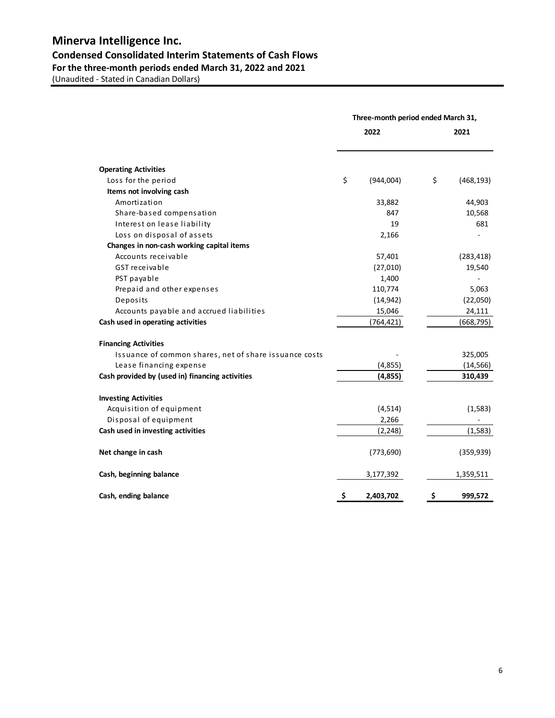## **Minerva Intelligence Inc. Condensed Consolidated Interim Statements of Cash Flows For the three-month periods ended March 31, 2022 and 2021**

|                                                        |    | Three-month period ended March 31, |      |            |
|--------------------------------------------------------|----|------------------------------------|------|------------|
|                                                        |    | 2022                               | 2021 |            |
| <b>Operating Activities</b>                            |    |                                    |      |            |
| Loss for the period                                    | \$ | (944,004)                          | \$   | (468, 193) |
| Items not involving cash                               |    |                                    |      |            |
| Amortization                                           |    | 33,882                             |      | 44,903     |
| Share-based compensation                               |    | 847                                |      | 10,568     |
| Interest on lease liability                            |    | 19                                 |      | 681        |
| Loss on disposal of assets                             |    | 2,166                              |      |            |
| Changes in non-cash working capital items              |    |                                    |      |            |
| Accounts receivable                                    |    | 57,401                             |      | (283, 418) |
| GST receivable                                         |    | (27, 010)                          |      | 19,540     |
| PST payable                                            |    | 1,400                              |      |            |
| Prepaid and other expenses                             |    | 110,774                            |      | 5,063      |
| Deposits                                               |    | (14, 942)                          |      | (22,050)   |
| Accounts payable and accrued liabilities               |    | 15,046                             |      | 24,111     |
| Cash used in operating activities                      |    | (764, 421)                         |      | (668, 795) |
| <b>Financing Activities</b>                            |    |                                    |      |            |
| Issuance of common shares, net of share issuance costs |    |                                    |      | 325,005    |
| Lease financing expense                                |    | (4, 855)                           |      | (14, 566)  |
| Cash provided by (used in) financing activities        |    | (4,855)                            |      | 310,439    |
| <b>Investing Activities</b>                            |    |                                    |      |            |
| Acquisition of equipment                               |    | (4, 514)                           |      | (1,583)    |
| Disposal of equipment                                  |    | 2,266                              |      |            |
| Cash used in investing activities                      |    | (2, 248)                           |      | (1, 583)   |
| Net change in cash                                     |    | (773, 690)                         |      | (359, 939) |
| Cash, beginning balance                                |    | 3,177,392                          |      | 1,359,511  |
| Cash, ending balance                                   | \$ | 2,403,702                          | \$   | 999,572    |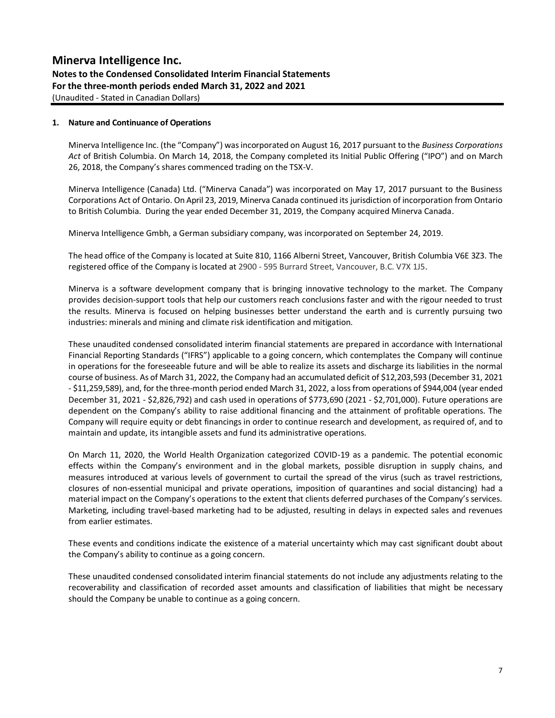#### **Notes to the Condensed Consolidated Interim Financial Statements For the three-month periods ended March 31, 2022 and 2021** (Unaudited - Stated in Canadian Dollars)

**1. Nature and Continuance of Operations** 

Minerva Intelligence Inc. (the "Company") was incorporated on August 16, 2017 pursuant to the *Business Corporations Act* of British Columbia. On March 14, 2018, the Company completed its Initial Public Offering ("IPO") and on March 26, 2018, the Company's shares commenced trading on the TSX-V.

Minerva Intelligence (Canada) Ltd. ("Minerva Canada") was incorporated on May 17, 2017 pursuant to the Business Corporations Act of Ontario. On April 23, 2019, Minerva Canada continued its jurisdiction of incorporation from Ontario to British Columbia. During the year ended December 31, 2019, the Company acquired Minerva Canada.

Minerva Intelligence Gmbh, a German subsidiary company, was incorporated on September 24, 2019.

The head office of the Company is located at Suite 810, 1166 Alberni Street, Vancouver, British Columbia V6E 3Z3. The registered office of the Company is located at 2900 - 595 Burrard Street, Vancouver, B.C. V7X 1J5.

Minerva is a software development company that is bringing innovative technology to the market. The Company provides decision-support tools that help our customers reach conclusions faster and with the rigour needed to trust the results. Minerva is focused on helping businesses better understand the earth and is currently pursuing two industries: minerals and mining and climate risk identification and mitigation.

These unaudited condensed consolidated interim financial statements are prepared in accordance with International Financial Reporting Standards ("IFRS") applicable to a going concern, which contemplates the Company will continue in operations for the foreseeable future and will be able to realize its assets and discharge its liabilities in the normal course of business. As of March 31, 2022, the Company had an accumulated deficit of \$12,203,593 (December 31, 2021 - \$11,259,589), and, for the three-month period ended March 31, 2022, a loss from operations of \$944,004 (year ended December 31, 2021 - \$2,826,792) and cash used in operations of \$773,690 (2021 - \$2,701,000). Future operations are dependent on the Company's ability to raise additional financing and the attainment of profitable operations. The Company will require equity or debt financings in order to continue research and development, as required of, and to maintain and update, its intangible assets and fund its administrative operations.

On March 11, 2020, the World Health Organization categorized COVID-19 as a pandemic. The potential economic effects within the Company's environment and in the global markets, possible disruption in supply chains, and measures introduced at various levels of government to curtail the spread of the virus (such as travel restrictions, closures of non-essential municipal and private operations, imposition of quarantines and social distancing) had a material impact on the Company's operations to the extent that clients deferred purchases of the Company's services. Marketing, including travel-based marketing had to be adjusted, resulting in delays in expected sales and revenues from earlier estimates.

These events and conditions indicate the existence of a material uncertainty which may cast significant doubt about the Company's ability to continue as a going concern.

These unaudited condensed consolidated interim financial statements do not include any adjustments relating to the recoverability and classification of recorded asset amounts and classification of liabilities that might be necessary should the Company be unable to continue as a going concern.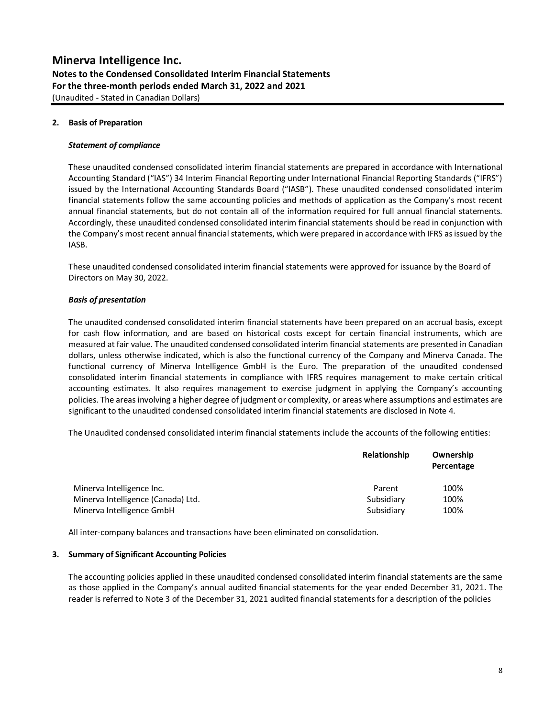### **Minerva Intelligence Inc. Notes to the Condensed Consolidated Interim Financial Statements For the three-month periods ended March 31, 2022 and 2021** (Unaudited - Stated in Canadian Dollars)

#### **2. Basis of Preparation**

#### *Statement of compliance*

These unaudited condensed consolidated interim financial statements are prepared in accordance with International Accounting Standard ("IAS") 34 Interim Financial Reporting under International Financial Reporting Standards ("IFRS") issued by the International Accounting Standards Board ("IASB"). These unaudited condensed consolidated interim financial statements follow the same accounting policies and methods of application as the Company's most recent annual financial statements, but do not contain all of the information required for full annual financial statements. Accordingly, these unaudited condensed consolidated interim financial statements should be read in conjunction with the Company's most recent annual financial statements, which were prepared in accordance with IFRS as issued by the IASB.

These unaudited condensed consolidated interim financial statements were approved for issuance by the Board of Directors on May 30, 2022.

#### *Basis of presentation*

The unaudited condensed consolidated interim financial statements have been prepared on an accrual basis, except for cash flow information, and are based on historical costs except for certain financial instruments, which are measured at fair value. The unaudited condensed consolidated interim financial statements are presented in Canadian dollars, unless otherwise indicated, which is also the functional currency of the Company and Minerva Canada. The functional currency of Minerva Intelligence GmbH is the Euro. The preparation of the unaudited condensed consolidated interim financial statements in compliance with IFRS requires management to make certain critical accounting estimates. It also requires management to exercise judgment in applying the Company's accounting policies. The areas involving a higher degree of judgment or complexity, or areas where assumptions and estimates are significant to the unaudited condensed consolidated interim financial statements are disclosed in Note 4.

The Unaudited condensed consolidated interim financial statements include the accounts of the following entities:

|                                    | Relationship | Ownership<br>Percentage |
|------------------------------------|--------------|-------------------------|
| Minerva Intelligence Inc.          | Parent       | 100%                    |
| Minerva Intelligence (Canada) Ltd. | Subsidiary   | 100%                    |
| Minerva Intelligence GmbH          | Subsidiary   | 100%                    |

All inter-company balances and transactions have been eliminated on consolidation.

#### **3. Summary of Significant Accounting Policies**

The accounting policies applied in these unaudited condensed consolidated interim financial statements are the same as those applied in the Company's annual audited financial statements for the year ended December 31, 2021. The reader is referred to Note 3 of the December 31, 2021 audited financial statements for a description of the policies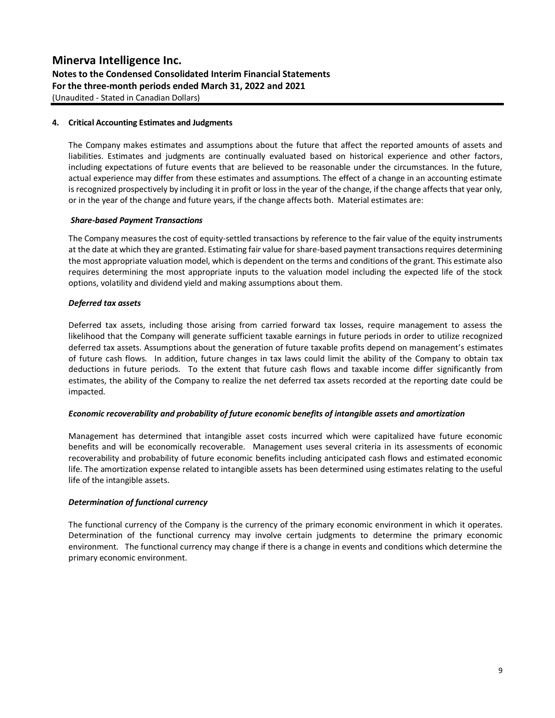## **Notes to the Condensed Consolidated Interim Financial Statements For the three-month periods ended March 31, 2022 and 2021**

(Unaudited - Stated in Canadian Dollars)

#### **4. Critical Accounting Estimates and Judgments**

The Company makes estimates and assumptions about the future that affect the reported amounts of assets and liabilities. Estimates and judgments are continually evaluated based on historical experience and other factors, including expectations of future events that are believed to be reasonable under the circumstances. In the future, actual experience may differ from these estimates and assumptions. The effect of a change in an accounting estimate is recognized prospectively by including it in profit or loss in the year of the change, if the change affects that year only, or in the year of the change and future years, if the change affects both. Material estimates are:

#### *Share-based Payment Transactions*

The Company measures the cost of equity-settled transactions by reference to the fair value of the equity instruments at the date at which they are granted. Estimating fair value for share-based payment transactions requires determining the most appropriate valuation model, which is dependent on the terms and conditions of the grant. This estimate also requires determining the most appropriate inputs to the valuation model including the expected life of the stock options, volatility and dividend yield and making assumptions about them.

#### *Deferred tax assets*

Deferred tax assets, including those arising from carried forward tax losses, require management to assess the likelihood that the Company will generate sufficient taxable earnings in future periods in order to utilize recognized deferred tax assets. Assumptions about the generation of future taxable profits depend on management's estimates of future cash flows. In addition, future changes in tax laws could limit the ability of the Company to obtain tax deductions in future periods. To the extent that future cash flows and taxable income differ significantly from estimates, the ability of the Company to realize the net deferred tax assets recorded at the reporting date could be impacted.

#### *Economic recoverability and probability of future economic benefits of intangible assets and amortization*

Management has determined that intangible asset costs incurred which were capitalized have future economic benefits and will be economically recoverable. Management uses several criteria in its assessments of economic recoverability and probability of future economic benefits including anticipated cash flows and estimated economic life. The amortization expense related to intangible assets has been determined using estimates relating to the useful life of the intangible assets.

#### *Determination of functional currency*

The functional currency of the Company is the currency of the primary economic environment in which it operates. Determination of the functional currency may involve certain judgments to determine the primary economic environment. The functional currency may change if there is a change in events and conditions which determine the primary economic environment.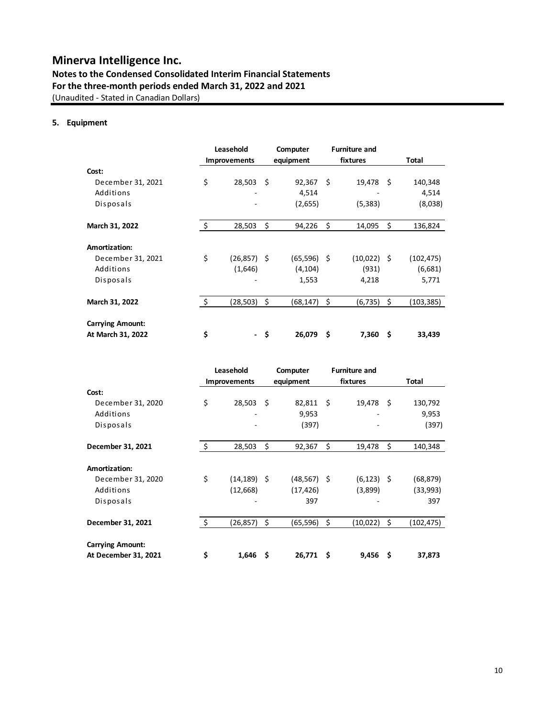### **Notes to the Condensed Consolidated Interim Financial Statements For the three-month periods ended March 31, 2022 and 2021** (Unaudited - Stated in Canadian Dollars)

#### **5. Equipment**

|                                              |         | Leasehold<br><b>Improvements</b> |      | Computer<br>equipment |     | <b>Furniture and</b><br>fixtures |      | <b>Total</b> |
|----------------------------------------------|---------|----------------------------------|------|-----------------------|-----|----------------------------------|------|--------------|
| Cost:                                        |         |                                  |      |                       |     |                                  |      |              |
| December 31, 2021                            | \$      | 28,503                           | -Ś   | $92,367$ \$           |     | 19,478                           | - \$ | 140,348      |
| Additions                                    |         |                                  |      | 4,514                 |     |                                  |      | 4,514        |
| Disposals                                    |         |                                  |      | (2,655)               |     | (5,383)                          |      | (8,038)      |
| March 31, 2022                               | \$      | 28,503                           | \$   | 94,226                | \$  | 14,095                           | Ś    | 136,824      |
| Amortization:                                |         |                                  |      |                       |     |                                  |      |              |
| December 31, 2021                            | \$      | $(26,857)$ \$                    |      | $(65,596)$ \$         |     | (10,022) \$                      |      | (102,475)    |
| Additions                                    |         | (1,646)                          |      | (4, 104)              |     | (931)                            |      | (6,681)      |
| Disposals                                    |         |                                  |      | 1,553                 |     | 4,218                            |      | 5,771        |
| March 31, 2022                               | $\zeta$ | (28, 503)                        | \$   | (68,147)              | \$  | (6,735)                          | Ŝ.   | (103, 385)   |
| <b>Carrying Amount:</b><br>At March 31, 2022 | \$      |                                  | - \$ | 26,079                | \$. | 7,360                            | Ŝ    | 33,439       |
|                                              |         |                                  |      |                       |     |                                  |      |              |

|                         |                     | Leasehold           |      | Computer       |      | <b>Furniture and</b> |      |            |
|-------------------------|---------------------|---------------------|------|----------------|------|----------------------|------|------------|
|                         |                     | <b>Improvements</b> |      | equipment      |      | fixtures             |      | Total      |
| Cost:                   |                     |                     |      |                |      |                      |      |            |
| December 31, 2020       | \$                  | 28,503              | -\$  | 82,811 \$      |      | 19,478               | - \$ | 130,792    |
| Additions               |                     |                     |      | 9,953          |      |                      |      | 9,953      |
| Disposals               |                     |                     |      | (397)          |      |                      |      | (397)      |
| December 31, 2021       | $\ddot{\mathsf{S}}$ | 28,503              | \$   | 92,367         | \$   | 19,478               | \$   | 140,348    |
|                         |                     |                     |      |                |      |                      |      |            |
| Amortization:           |                     |                     |      |                |      |                      |      |            |
| December 31, 2020       | \$                  | (14, 189)           | - \$ | $(48, 567)$ \$ |      | $(6, 123)$ \$        |      | (68, 879)  |
| Additions               |                     | (12,668)            |      | (17, 426)      |      | (3,899)              |      | (33,993)   |
| Disposals               |                     |                     |      | 397            |      |                      |      | 397        |
| December 31, 2021       | $\zeta$             | (26, 857)           | \$   | (65, 596)      | \$   | (10,022)             | \$   | (102, 475) |
| <b>Carrying Amount:</b> |                     |                     |      |                |      |                      |      |            |
| At December 31, 2021    | \$                  | 1,646               | Ŝ    | 26,771         | - \$ | 9,456                | \$   | 37,873     |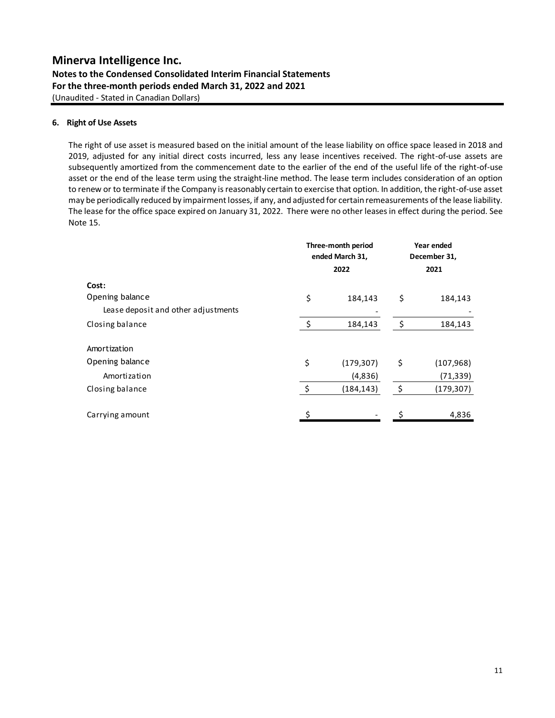**Notes to the Condensed Consolidated Interim Financial Statements For the three-month periods ended March 31, 2022 and 2021** (Unaudited - Stated in Canadian Dollars)

### **6. Right of Use Assets**

The right of use asset is measured based on the initial amount of the lease liability on office space leased in 2018 and 2019, adjusted for any initial direct costs incurred, less any lease incentives received. The right-of-use assets are subsequently amortized from the commencement date to the earlier of the end of the useful life of the right-of-use asset or the end of the lease term using the straight-line method. The lease term includes consideration of an option to renew or to terminate if the Company is reasonably certain to exercise that option. In addition, the right-of-use asset may be periodically reduced by impairment losses, if any, and adjusted for certain remeasurements of the lease liability. The lease for the office space expired on January 31, 2022. There were no other leases in effect during the period. See Note 15.

|                                     | Three-month period<br>ended March 31, |            | Year ended<br>December 31, |           |
|-------------------------------------|---------------------------------------|------------|----------------------------|-----------|
|                                     |                                       | 2022       |                            | 2021      |
| Cost:                               |                                       |            |                            |           |
| Opening balance                     | \$                                    | 184,143    | \$                         | 184,143   |
| Lease deposit and other adjustments |                                       |            |                            |           |
| Closing balance                     | \$                                    | 184,143    | \$                         | 184,143   |
| Amortization                        |                                       |            |                            |           |
| Opening balance                     | \$                                    | (179, 307) | \$                         | (107,968) |
| Amortization                        |                                       | (4,836)    |                            | (71, 339) |
| Closing balance                     | \$                                    | (184, 143) | \$                         | (179,307) |
| Carrying amount                     | Ś                                     |            |                            | 4,836     |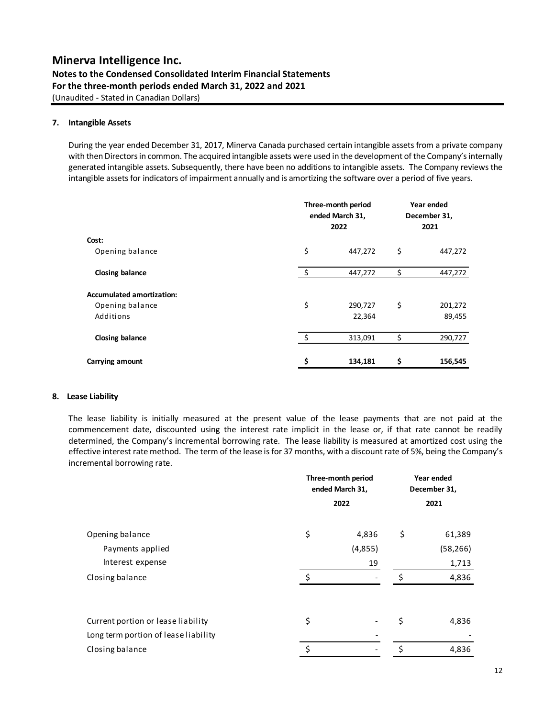**Notes to the Condensed Consolidated Interim Financial Statements For the three-month periods ended March 31, 2022 and 2021** (Unaudited - Stated in Canadian Dollars)

#### **7. Intangible Assets**

During the year ended December 31, 2017, Minerva Canada purchased certain intangible assets from a private company with then Directors in common. The acquired intangible assets were used in the development of the Company's internally generated intangible assets. Subsequently, there have been no additions to intangible assets. The Company reviews the intangible assets for indicators of impairment annually and is amortizing the software over a period of five years.

|                                  |     | Three-month period<br>ended March 31,<br>2022 | Year ended<br>December 31,<br>2021 |         |  |
|----------------------------------|-----|-----------------------------------------------|------------------------------------|---------|--|
| Cost:                            |     |                                               |                                    |         |  |
| Opening balance                  | \$  | 447,272                                       | \$                                 | 447,272 |  |
| Closing balance                  | -\$ | 447,272                                       | \$                                 | 447,272 |  |
| <b>Accumulated amortization:</b> |     |                                               |                                    |         |  |
| Opening balance                  | \$  | 290,727                                       | \$                                 | 201,272 |  |
| Additions                        |     | 22,364                                        |                                    | 89,455  |  |
| Closing balance                  | Ś,  | 313,091                                       | \$                                 | 290,727 |  |
| Carrying amount                  | \$  | 134,181                                       | \$                                 | 156,545 |  |

#### **8. Lease Liability**

The lease liability is initially measured at the present value of the lease payments that are not paid at the commencement date, discounted using the interest rate implicit in the lease or, if that rate cannot be readily determined, the Company's incremental borrowing rate. The lease liability is measured at amortized cost using the effective interest rate method. The term of the lease is for 37 months, with a discount rate of 5%, being the Company's incremental borrowing rate.

|                                      | Three-month period<br>ended March 31, | Year ended<br>December 31,   |    |           |
|--------------------------------------|---------------------------------------|------------------------------|----|-----------|
|                                      |                                       | 2022                         |    | 2021      |
| Opening balance                      | \$                                    | 4,836                        | \$ | 61,389    |
| Payments applied                     |                                       | (4,855)                      |    | (58, 266) |
| Interest expense                     |                                       | 19                           |    | 1,713     |
| Closing balance                      | Ś                                     |                              | \$ | 4,836     |
| Current portion or lease liability   | \$                                    | $\qquad \qquad \blacksquare$ | \$ | 4,836     |
| Long term portion of lease liability |                                       |                              |    |           |
| Closing balance                      | \$                                    |                              | \$ | 4,836     |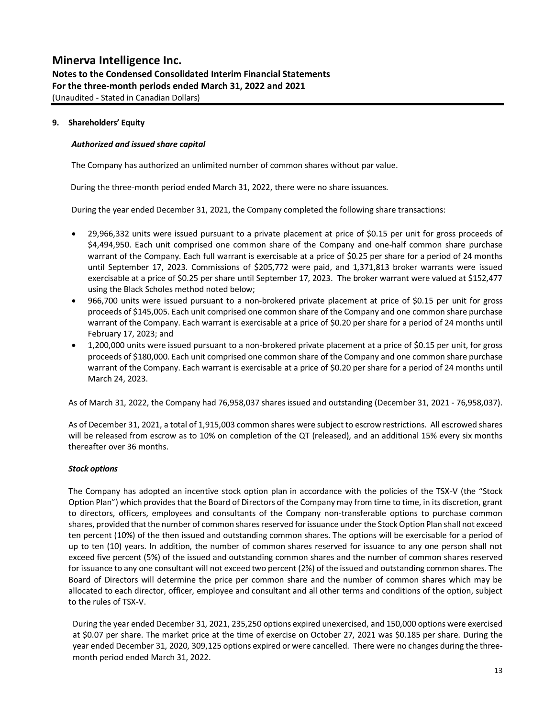### **Minerva Intelligence Inc. Notes to the Condensed Consolidated Interim Financial Statements For the three-month periods ended March 31, 2022 and 2021** (Unaudited - Stated in Canadian Dollars)

#### **9. Shareholders' Equity**

#### *Authorized and issued share capital*

The Company has authorized an unlimited number of common shares without par value.

During the three-month period ended March 31, 2022, there were no share issuances.

During the year ended December 31, 2021, the Company completed the following share transactions:

- 29,966,332 units were issued pursuant to a private placement at price of \$0.15 per unit for gross proceeds of \$4,494,950. Each unit comprised one common share of the Company and one-half common share purchase warrant of the Company. Each full warrant is exercisable at a price of \$0.25 per share for a period of 24 months until September 17, 2023. Commissions of \$205,772 were paid, and 1,371,813 broker warrants were issued exercisable at a price of \$0.25 per share until September 17, 2023. The broker warrant were valued at \$152,477 using the Black Scholes method noted below;
- 966,700 units were issued pursuant to a non-brokered private placement at price of \$0.15 per unit for gross proceeds of \$145,005. Each unit comprised one common share of the Company and one common share purchase warrant of the Company. Each warrant is exercisable at a price of \$0.20 per share for a period of 24 months until February 17, 2023; and
- 1,200,000 units were issued pursuant to a non-brokered private placement at a price of \$0.15 per unit, for gross proceeds of \$180,000. Each unit comprised one common share of the Company and one common share purchase warrant of the Company. Each warrant is exercisable at a price of \$0.20 per share for a period of 24 months until March 24, 2023.

As of March 31, 2022, the Company had 76,958,037 shares issued and outstanding (December 31, 2021 - 76,958,037).

As of December 31, 2021, a total of 1,915,003 common shares were subject to escrow restrictions. All escrowed shares will be released from escrow as to 10% on completion of the QT (released), and an additional 15% every six months thereafter over 36 months.

#### *Stock options*

The Company has adopted an incentive stock option plan in accordance with the policies of the TSX-V (the "Stock Option Plan") which providesthat the Board of Directors of the Company may from time to time, in its discretion, grant to directors, officers, employees and consultants of the Company non-transferable options to purchase common shares, provided that the number of common shares reserved for issuance under the Stock Option Plan shall not exceed ten percent (10%) of the then issued and outstanding common shares. The options will be exercisable for a period of up to ten (10) years. In addition, the number of common shares reserved for issuance to any one person shall not exceed five percent (5%) of the issued and outstanding common shares and the number of common shares reserved for issuance to any one consultant will not exceed two percent (2%) of the issued and outstanding common shares. The Board of Directors will determine the price per common share and the number of common shares which may be allocated to each director, officer, employee and consultant and all other terms and conditions of the option, subject to the rules of TSX-V.

During the year ended December 31, 2021, 235,250 options expired unexercised, and 150,000 options were exercised at \$0.07 per share. The market price at the time of exercise on October 27, 2021 was \$0.185 per share. During the year ended December 31, 2020, 309,125 options expired or were cancelled. There were no changes during the threemonth period ended March 31, 2022.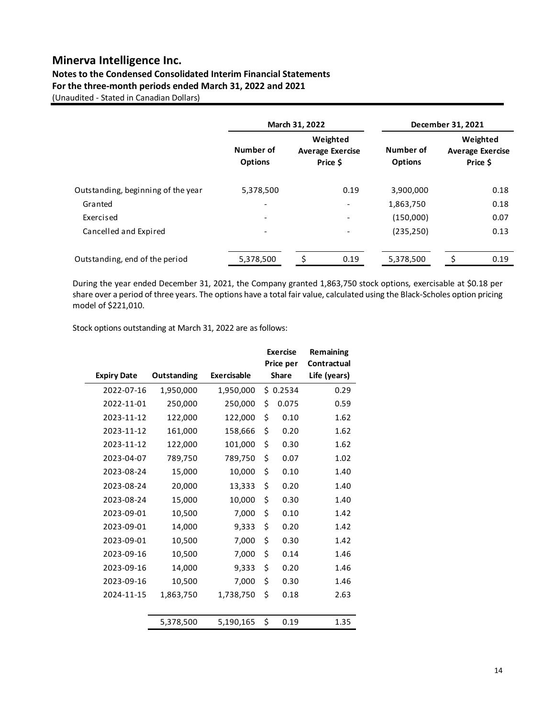## **Notes to the Condensed Consolidated Interim Financial Statements**

**For the three-month periods ended March 31, 2022 and 2021**

(Unaudited - Stated in Canadian Dollars)

|                                    | March 31, 2022              |                                                 | December 31, 2021            |                             |  |                                                 |
|------------------------------------|-----------------------------|-------------------------------------------------|------------------------------|-----------------------------|--|-------------------------------------------------|
|                                    | Number of<br><b>Options</b> | Weighted<br><b>Average Exercise</b><br>Price \$ |                              | Number of<br><b>Options</b> |  | Weighted<br><b>Average Exercise</b><br>Price \$ |
| Outstanding, beginning of the year | 5,378,500                   |                                                 | 0.19                         | 3,900,000                   |  | 0.18                                            |
| Granted                            |                             |                                                 |                              | 1,863,750                   |  | 0.18                                            |
| Exercised                          | $\overline{\phantom{0}}$    |                                                 | $\qquad \qquad \blacksquare$ | (150,000)                   |  | 0.07                                            |
| Cancelled and Expired              | $\overline{\phantom{a}}$    |                                                 |                              | (235, 250)                  |  | 0.13                                            |
| Outstanding, end of the period     | 5,378,500                   | Ś                                               | 0.19                         | 5,378,500                   |  | 0.19                                            |

During the year ended December 31, 2021, the Company granted 1,863,750 stock options, exercisable at \$0.18 per share over a period of three years. The options have a total fair value, calculated using the Black-Scholes option pricing model of \$221,010.

Stock options outstanding at March 31, 2022 are as follows:

|                    |             |                    | <b>Exercise</b><br>Price per | Remaining<br>Contractual |
|--------------------|-------------|--------------------|------------------------------|--------------------------|
| <b>Expiry Date</b> | Outstanding | <b>Exercisable</b> | <b>Share</b>                 | Life (years)             |
| 2022-07-16         | 1,950,000   | 1,950,000          | \$0.2534                     | 0.29                     |
| 2022-11-01         | 250,000     | 250,000            | \$<br>0.075                  | 0.59                     |
| 2023-11-12         | 122,000     | 122,000            | \$<br>0.10                   | 1.62                     |
| 2023-11-12         | 161,000     | 158,666            | \$<br>0.20                   | 1.62                     |
| 2023-11-12         | 122,000     | 101,000            | \$<br>0.30                   | 1.62                     |
| 2023-04-07         | 789,750     | 789,750            | \$<br>0.07                   | 1.02                     |
| 2023-08-24         | 15,000      | 10,000             | \$<br>0.10                   | 1.40                     |
| 2023-08-24         | 20,000      | 13,333             | \$<br>0.20                   | 1.40                     |
| 2023-08-24         | 15,000      | 10,000             | \$<br>0.30                   | 1.40                     |
| 2023-09-01         | 10,500      | 7,000              | \$<br>0.10                   | 1.42                     |
| 2023-09-01         | 14,000      | 9,333              | \$<br>0.20                   | 1.42                     |
| 2023-09-01         | 10,500      | 7,000              | \$<br>0.30                   | 1.42                     |
| 2023-09-16         | 10,500      | 7,000              | \$<br>0.14                   | 1.46                     |
| 2023-09-16         | 14,000      | 9,333              | \$<br>0.20                   | 1.46                     |
| 2023-09-16         | 10,500      | 7,000              | \$<br>0.30                   | 1.46                     |
| 2024-11-15         | 1,863,750   | 1,738,750          | \$<br>0.18                   | 2.63                     |
|                    |             |                    |                              |                          |
|                    | 5,378,500   | 5,190,165          | \$<br>0.19                   | 1.35                     |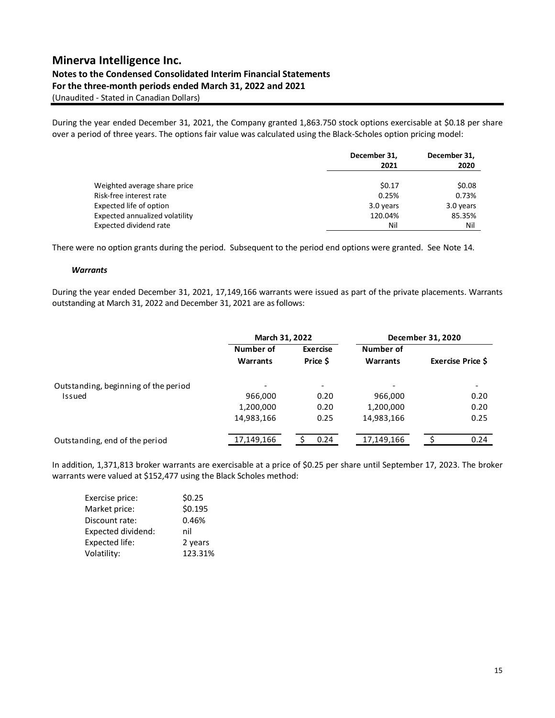## **Notes to the Condensed Consolidated Interim Financial Statements**

**For the three-month periods ended March 31, 2022 and 2021**

(Unaudited - Stated in Canadian Dollars)

During the year ended December 31, 2021, the Company granted 1,863.750 stock options exercisable at \$0.18 per share over a period of three years. The options fair value was calculated using the Black-Scholes option pricing model:

|                                | December 31, | December 31, |  |
|--------------------------------|--------------|--------------|--|
|                                | 2021         | 2020         |  |
| Weighted average share price   | \$0.17       | \$0.08       |  |
| Risk-free interest rate        | 0.25%        | 0.73%        |  |
| Expected life of option        | 3.0 years    | 3.0 years    |  |
| Expected annualized volatility | 120.04%      | 85.35%       |  |
| Expected dividend rate         | Nil          | Nil          |  |

There were no option grants during the period. Subsequent to the period end options were granted. See Note 14.

#### *Warrants*

During the year ended December 31, 2021, 17,149,166 warrants were issued as part of the private placements. Warrants outstanding at March 31, 2022 and December 31, 2021 are as follows:

|                                      | March 31, 2022 |                          | December 31, 2020 |                          |  |
|--------------------------------------|----------------|--------------------------|-------------------|--------------------------|--|
|                                      | Number of      | <b>Exercise</b>          | Number of         |                          |  |
|                                      | Warrants       | Price \$                 | Warrants          | <b>Exercise Price \$</b> |  |
| Outstanding, beginning of the period |                | $\overline{\phantom{0}}$ |                   |                          |  |
| Issued                               | 966,000        | 0.20                     | 966,000           | 0.20                     |  |
|                                      | 1,200,000      | 0.20                     | 1,200,000         | 0.20                     |  |
|                                      | 14,983,166     | 0.25                     | 14,983,166        | 0.25                     |  |
| Outstanding, end of the period       | 17,149,166     | 0.24                     | 17,149,166        | 0.24                     |  |

In addition, 1,371,813 broker warrants are exercisable at a price of \$0.25 per share until September 17, 2023. The broker warrants were valued at \$152,477 using the Black Scholes method:

| Exercise price:    | \$0.25  |
|--------------------|---------|
| Market price:      | \$0.195 |
| Discount rate:     | 0.46%   |
| Expected dividend: | nil     |
| Expected life:     | 2 years |
| Volatility:        | 123.31% |
|                    |         |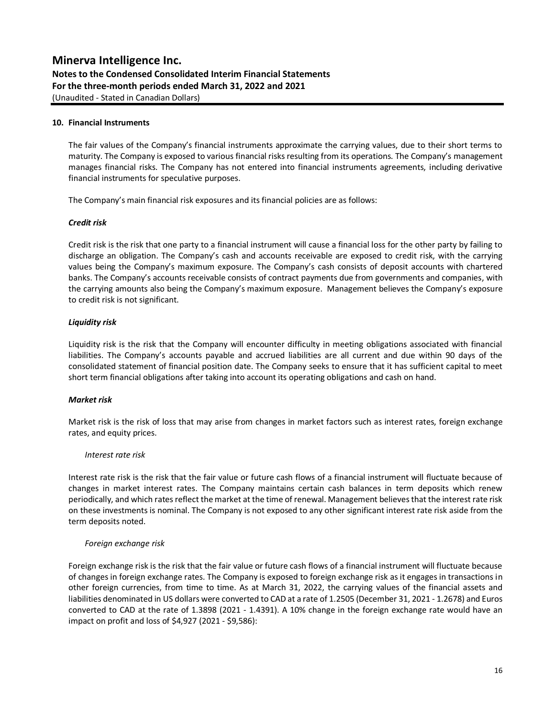**Notes to the Condensed Consolidated Interim Financial Statements For the three-month periods ended March 31, 2022 and 2021**

(Unaudited - Stated in Canadian Dollars)

#### **10. Financial Instruments**

The fair values of the Company's financial instruments approximate the carrying values, due to their short terms to maturity. The Company is exposed to various financial risks resulting from its operations. The Company's management manages financial risks. The Company has not entered into financial instruments agreements, including derivative financial instruments for speculative purposes.

The Company's main financial risk exposures and its financial policies are as follows:

#### *Credit risk*

Credit risk is the risk that one party to a financial instrument will cause a financial loss for the other party by failing to discharge an obligation. The Company's cash and accounts receivable are exposed to credit risk, with the carrying values being the Company's maximum exposure. The Company's cash consists of deposit accounts with chartered banks. The Company's accounts receivable consists of contract payments due from governments and companies, with the carrying amounts also being the Company's maximum exposure. Management believes the Company's exposure to credit risk is not significant.

#### *Liquidity risk*

Liquidity risk is the risk that the Company will encounter difficulty in meeting obligations associated with financial liabilities. The Company's accounts payable and accrued liabilities are all current and due within 90 days of the consolidated statement of financial position date. The Company seeks to ensure that it has sufficient capital to meet short term financial obligations after taking into account its operating obligations and cash on hand.

#### *Market risk*

Market risk is the risk of loss that may arise from changes in market factors such as interest rates, foreign exchange rates, and equity prices.

#### *Interest rate risk*

Interest rate risk is the risk that the fair value or future cash flows of a financial instrument will fluctuate because of changes in market interest rates. The Company maintains certain cash balances in term deposits which renew periodically, and which rates reflect the market at the time of renewal. Management believes that the interest rate risk on these investments is nominal. The Company is not exposed to any other significant interest rate risk aside from the term deposits noted.

#### *Foreign exchange risk*

Foreign exchange risk is the risk that the fair value or future cash flows of a financial instrument will fluctuate because of changes in foreign exchange rates. The Company is exposed to foreign exchange risk as it engages in transactions in other foreign currencies, from time to time. As at March 31, 2022, the carrying values of the financial assets and liabilities denominated in US dollars were converted to CAD at a rate of 1.2505 (December 31, 2021 - 1.2678) and Euros converted to CAD at the rate of 1.3898 (2021 - 1.4391). A 10% change in the foreign exchange rate would have an impact on profit and loss of \$4,927 (2021 - \$9,586):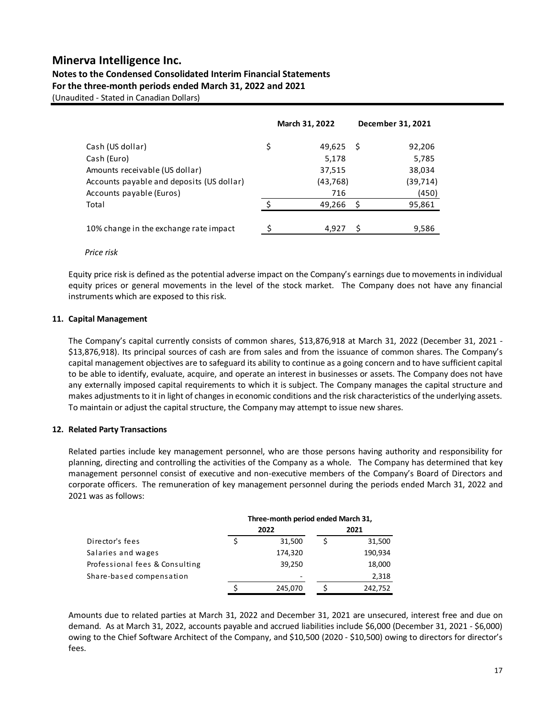#### **Notes to the Condensed Consolidated Interim Financial Statements For the three-month periods ended March 31, 2022 and 2021**

(Unaudited - Stated in Canadian Dollars)

|                                           | March 31, 2022 |   | December 31, 2021 |
|-------------------------------------------|----------------|---|-------------------|
| Cash (US dollar)                          | \$<br>49,625   | S | 92,206            |
| Cash (Euro)                               | 5,178          |   | 5,785             |
| Amounts receivable (US dollar)            | 37,515         |   | 38,034            |
| Accounts payable and deposits (US dollar) | (43, 768)      |   | (39,714)          |
| Accounts payable (Euros)                  | 716            |   | (450)             |
| Total                                     | 49,266         |   | 95,861            |
| 10% change in the exchange rate impact    | 4.927          |   | 9,586             |
|                                           |                |   |                   |

#### *Price risk*

Equity price risk is defined as the potential adverse impact on the Company's earnings due to movements in individual equity prices or general movements in the level of the stock market. The Company does not have any financial instruments which are exposed to this risk.

#### **11. Capital Management**

The Company's capital currently consists of common shares, \$13,876,918 at March 31, 2022 (December 31, 2021 - \$13,876,918). Its principal sources of cash are from sales and from the issuance of common shares. The Company's capital management objectives are to safeguard its ability to continue as a going concern and to have sufficient capital to be able to identify, evaluate, acquire, and operate an interest in businesses or assets. The Company does not have any externally imposed capital requirements to which it is subject. The Company manages the capital structure and makes adjustments to it in light of changes in economic conditions and the risk characteristics of the underlying assets. To maintain or adjust the capital structure, the Company may attempt to issue new shares.

#### **12. Related Party Transactions**

Related parties include key management personnel, who are those persons having authority and responsibility for planning, directing and controlling the activities of the Company as a whole. The Company has determined that key management personnel consist of executive and non-executive members of the Company's Board of Directors and corporate officers. The remuneration of key management personnel during the periods ended March 31, 2022 and 2021 was as follows:

|                                | Three-month period ended March 31, |      |         |  |
|--------------------------------|------------------------------------|------|---------|--|
|                                | 2022                               | 2021 |         |  |
| Director's fees                | 31,500                             |      | 31,500  |  |
| Salaries and wages             | 174,320                            |      | 190,934 |  |
| Professional fees & Consulting | 39,250                             |      | 18,000  |  |
| Share-based compensation       | ۰                                  |      | 2,318   |  |
|                                | 245,070                            |      | 242.752 |  |

Amounts due to related parties at March 31, 2022 and December 31, 2021 are unsecured, interest free and due on demand. As at March 31, 2022, accounts payable and accrued liabilities include \$6,000 (December 31, 2021 - \$6,000) owing to the Chief Software Architect of the Company, and \$10,500 (2020 - \$10,500) owing to directors for director's fees.